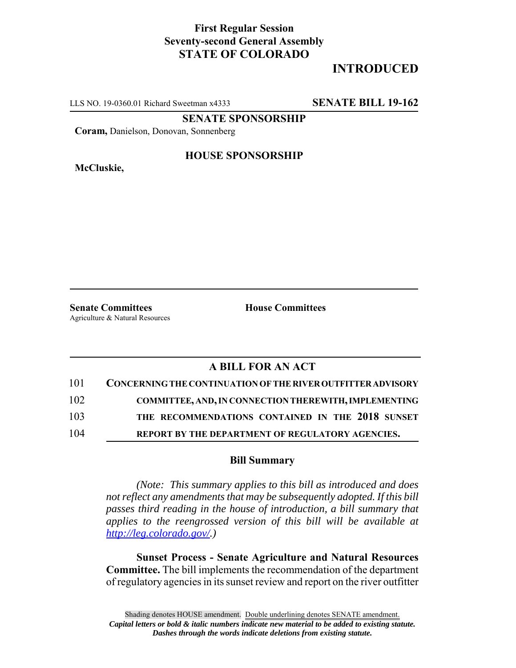## **First Regular Session Seventy-second General Assembly STATE OF COLORADO**

# **INTRODUCED**

LLS NO. 19-0360.01 Richard Sweetman x4333 **SENATE BILL 19-162**

**SENATE SPONSORSHIP**

**Coram,** Danielson, Donovan, Sonnenberg

**McCluskie,**

#### **HOUSE SPONSORSHIP**

**Senate Committees House Committees** Agriculture & Natural Resources

### **A BILL FOR AN ACT**

| 101 | <b>CONCERNING THE CONTINUATION OF THE RIVER OUTFITTER ADVISORY</b> |
|-----|--------------------------------------------------------------------|
| 102 | <b>COMMITTEE, AND, IN CONNECTION THEREWITH, IMPLEMENTING</b>       |
| 103 | THE RECOMMENDATIONS CONTAINED IN THE 2018 SUNSET                   |
| 104 | REPORT BY THE DEPARTMENT OF REGULATORY AGENCIES.                   |

#### **Bill Summary**

*(Note: This summary applies to this bill as introduced and does not reflect any amendments that may be subsequently adopted. If this bill passes third reading in the house of introduction, a bill summary that applies to the reengrossed version of this bill will be available at http://leg.colorado.gov/.)*

**Sunset Process - Senate Agriculture and Natural Resources Committee.** The bill implements the recommendation of the department of regulatory agencies in its sunset review and report on the river outfitter